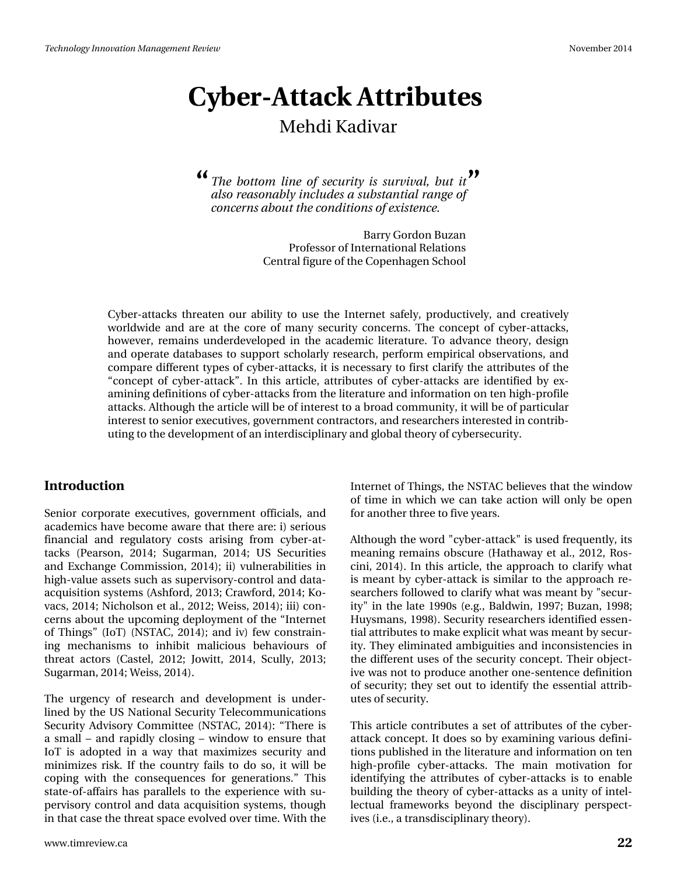# Mehdi Kadivar

*The bottom line of security is survival, but it* **" "***also reasonably includes a substantial range of concerns about the conditions of existence.*

> Barry Gordon Buzan Professor of International Relations Central figure of the Copenhagen School

Cyber-attacks threaten our ability to use the Internet safely, productively, and creatively worldwide and are at the core of many security concerns. The concept of cyber-attacks, however, remains underdeveloped in the academic literature. To advance theory, design and operate databases to support scholarly research, perform empirical observations, and compare different types of cyber-attacks, it is necessary to first clarify the attributes of the "concept of cyber-attack". In this article, attributes of cyber-attacks are identified by examining definitions of cyber-attacks from the literature and information on ten high-profile attacks. Although the article will be of interest to a broad community, it will be of particular interest to senior executives, government contractors, and researchers interested in contributing to the development of an interdisciplinary and global theory of cybersecurity.

### **Introduction**

Senior corporate executives, government officials, and academics have become aware that there are: i) serious financial and regulatory costs arising from cyber-attacks (Pearson, 2014; Sugarman, 2014; US Securities and Exchange Commission, 2014); ii) vulnerabilities in high-value assets such as supervisory-control and dataacquisition systems (Ashford, 2013; Crawford, 2014; Kovacs, 2014; Nicholson et al., 2012; Weiss, 2014); iii) concerns about the upcoming deployment of the "Internet of Things" (IoT) (NSTAC, 2014); and iv) few constraining mechanisms to inhibit malicious behaviours of threat actors (Castel, 2012; Jowitt, 2014, Scully, 2013; Sugarman, 2014; Weiss, 2014).

The urgency of research and development is underlined by the US National Security Telecommunications Security Advisory Committee (NSTAC, 2014): "There is a small – and rapidly closing – window to ensure that IoT is adopted in a way that maximizes security and minimizes risk. If the country fails to do so, it will be coping with the consequences for generations." This state-of-affairs has parallels to the experience with supervisory control and data acquisition systems, though in that case the threat space evolved over time. With the

Internet of Things, the NSTAC believes that the window of time in which we can take action will only be open for another three to five years.

Although the word "cyber-attack" is used frequently, its meaning remains obscure (Hathaway et al., 2012, Roscini, 2014). In this article, the approach to clarify what is meant by cyber-attack is similar to the approach researchers followed to clarify what was meant by "security" in the late 1990s (e.g., Baldwin, 1997; Buzan, 1998; Huysmans, 1998). Security researchers identified essential attributes to make explicit what was meant by security. They eliminated ambiguities and inconsistencies in the different uses of the security concept. Their objective was not to produce another one-sentence definition of security; they set out to identify the essential attributes of security.

This article contributes a set of attributes of the cyberattack concept. It does so by examining various definitions published in the literature and information on ten high-profile cyber-attacks. The main motivation for identifying the attributes of cyber-attacks is to enable building the theory of cyber-attacks as a unity of intellectual frameworks beyond the disciplinary perspectives (i.e., a transdisciplinary theory).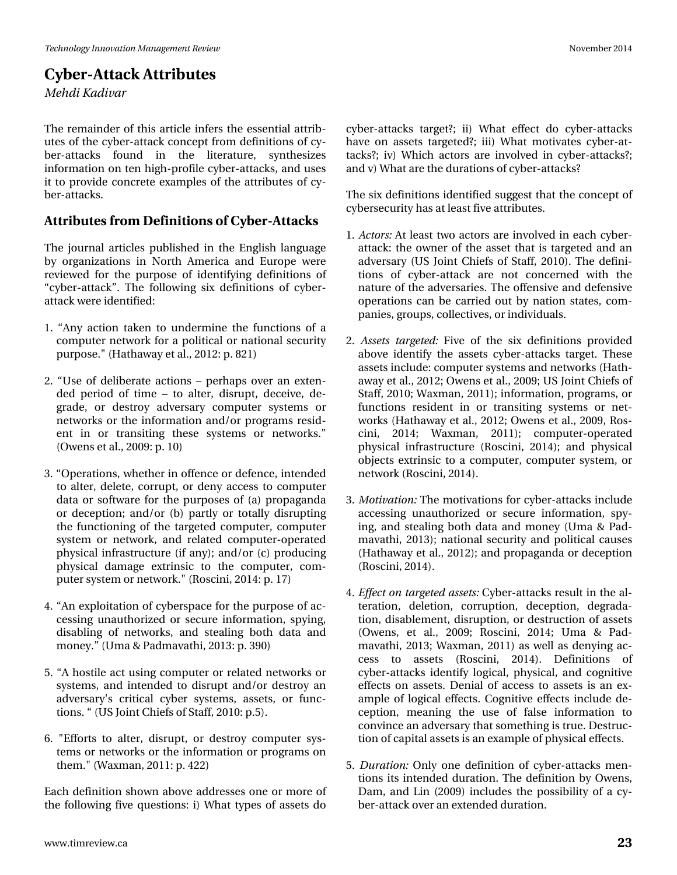*Mehdi Kadivar*

The remainder of this article infers the essential attributes of the cyber-attack concept from definitions of cyber-attacks found in the literature, synthesizes information on ten high-profile cyber-attacks, and uses it to provide concrete examples of the attributes of cyber-attacks.

### **Attributes from Definitions of Cyber-Attacks**

The journal articles published in the English language by organizations in North America and Europe were reviewed for the purpose of identifying definitions of "cyber-attack". The following six definitions of cyberattack were identified:

- 1. "Any action taken to undermine the functions of a computer network for a political or national security purpose." (Hathaway et al., 2012: p. 821)
- 2. "Use of deliberate actions perhaps over an extended period of time – to alter, disrupt, deceive, degrade, or destroy adversary computer systems or networks or the information and/or programs resident in or transiting these systems or networks." (Owens et al., 2009: p. 10)
- 3. "Operations, whether in offence or defence, intended to alter, delete, corrupt, or deny access to computer data or software for the purposes of (a) propaganda or deception; and/or (b) partly or totally disrupting the functioning of the targeted computer, computer system or network, and related computer-operated physical infrastructure (if any); and/or (c) producing physical damage extrinsic to the computer, computer system or network." (Roscini, 2014: p. 17)
- 4. "An exploitation of cyberspace for the purpose of accessing unauthorized or secure information, spying, disabling of networks, and stealing both data and money." (Uma & Padmavathi, 2013: p. 390)
- 5. "A hostile act using computer or related networks or systems, and intended to disrupt and/or destroy an adversary's critical cyber systems, assets, or functions. " (US Joint Chiefs of Staff, 2010: p.5).
- 6. "Efforts to alter, disrupt, or destroy computer systems or networks or the information or programs on them." (Waxman, 2011: p. 422)

Each definition shown above addresses one or more of the following five questions: i) What types of assets do

cyber-attacks target?; ii) What effect do cyber-attacks have on assets targeted?; iii) What motivates cyber-attacks?; iv) Which actors are involved in cyber-attacks?; and v) What are the durations of cyber-attacks?

The six definitions identified suggest that the concept of cybersecurity has at least five attributes.

- 1. *Actors:* At least two actors are involved in each cyberattack: the owner of the asset that is targeted and an adversary (US Joint Chiefs of Staff, 2010). The definitions of cyber-attack are not concerned with the nature of the adversaries. The offensive and defensive operations can be carried out by nation states, companies, groups, collectives, or individuals.
- 2. *Assets targeted:* Five of the six definitions provided above identify the assets cyber-attacks target. These assets include: computer systems and networks (Hathaway et al., 2012; Owens et al., 2009; US Joint Chiefs of Staff, 2010; Waxman, 2011); information, programs, or functions resident in or transiting systems or networks (Hathaway et al., 2012; Owens et al., 2009, Roscini, 2014; Waxman, 2011); computer-operated physical infrastructure (Roscini, 2014); and physical objects extrinsic to a computer, computer system, or network (Roscini, 2014).
- 3. *Motivation:* The motivations for cyber-attacks include accessing unauthorized or secure information, spying, and stealing both data and money (Uma & Padmavathi, 2013); national security and political causes (Hathaway et al., 2012); and propaganda or deception (Roscini, 2014).
- 4. *Effect on targeted assets:* Cyber-attacks result in the alteration, deletion, corruption, deception, degradation, disablement, disruption, or destruction of assets (Owens, et al., 2009; Roscini, 2014; Uma & Padmavathi, 2013; Waxman, 2011) as well as denying access to assets (Roscini, 2014). Definitions of cyber-attacks identify logical, physical, and cognitive effects on assets. Denial of access to assets is an example of logical effects. Cognitive effects include deception, meaning the use of false information to convince an adversary that something is true. Destruction of capital assets is an example of physical effects.
- 5. *Duration:* Only one definition of cyber-attacks mentions its intended duration. The definition by Owens, Dam, and Lin (2009) includes the possibility of a cyber-attack over an extended duration.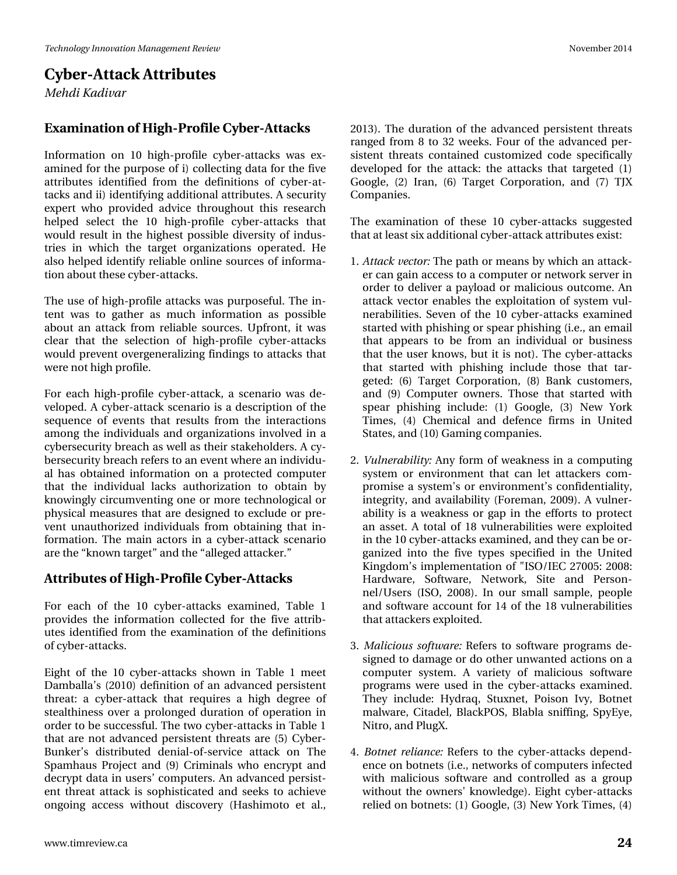*Mehdi Kadivar*

### **Examination of High-Profile Cyber-Attacks**

Information on 10 high-profile cyber-attacks was examined for the purpose of i) collecting data for the five attributes identified from the definitions of cyber-attacks and ii) identifying additional attributes. A security expert who provided advice throughout this research helped select the 10 high-profile cyber-attacks that would result in the highest possible diversity of industries in which the target organizations operated. He also helped identify reliable online sources of information about these cyber-attacks.

The use of high-profile attacks was purposeful. The intent was to gather as much information as possible about an attack from reliable sources. Upfront, it was clear that the selection of high-profile cyber-attacks would prevent overgeneralizing findings to attacks that were not high profile.

For each high-profile cyber-attack, a scenario was developed. A cyber-attack scenario is a description of the sequence of events that results from the interactions among the individuals and organizations involved in a cybersecurity breach as well as their stakeholders. A cybersecurity breach refers to an event where an individual has obtained information on a protected computer that the individual lacks authorization to obtain by knowingly circumventing one or more technological or physical measures that are designed to exclude or prevent unauthorized individuals from obtaining that information. The main actors in a cyber-attack scenario are the "known target" and the "alleged attacker."

### **Attributes of High-Profile Cyber-Attacks**

For each of the 10 cyber-attacks examined, Table 1 provides the information collected for the five attributes identified from the examination of the definitions of cyber-attacks.

Eight of the 10 cyber-attacks shown in Table 1 meet Damballa's (2010) definition of an advanced persistent threat: a cyber-attack that requires a high degree of stealthiness over a prolonged duration of operation in order to be successful. The two cyber-attacks in Table 1 that are not advanced persistent threats are (5) Cyber-Bunker's distributed denial-of-service attack on The Spamhaus Project and (9) Criminals who encrypt and decrypt data in users' computers. An advanced persistent threat attack is sophisticated and seeks to achieve ongoing access without discovery (Hashimoto et al.,

2013). The duration of the advanced persistent threats ranged from 8 to 32 weeks. Four of the advanced persistent threats contained customized code specifically developed for the attack: the attacks that targeted (1) Google, (2) Iran, (6) Target Corporation, and (7) TJX Companies.

The examination of these 10 cyber-attacks suggested that at least six additional cyber-attack attributes exist:

- 1. *Attack vector:* The path or means by which an attacker can gain access to a computer or network server in order to deliver a payload or malicious outcome. An attack vector enables the exploitation of system vulnerabilities. Seven of the 10 cyber-attacks examined started with phishing or spear phishing (i.e., an email that appears to be from an individual or business that the user knows, but it is not). The cyber-attacks that started with phishing include those that targeted: (6) Target Corporation, (8) Bank customers, and (9) Computer owners. Those that started with spear phishing include: (1) Google, (3) New York Times, (4) Chemical and defence firms in United States, and (10) Gaming companies.
- 2. *Vulnerability:* Any form of weakness in a computing system or environment that can let attackers compromise a system's or environment's confidentiality, integrity, and availability (Foreman, 2009). A vulnerability is a weakness or gap in the efforts to protect an asset. A total of 18 vulnerabilities were exploited in the 10 cyber-attacks examined, and they can be organized into the five types specified in the United Kingdom's implementation of "ISO/IEC 27005: 2008: Hardware, Software, Network, Site and Personnel/Users (ISO, 2008). In our small sample, people and software account for 14 of the 18 vulnerabilities that attackers exploited.
- 3. *Malicious software:* Refers to software programs designed to damage or do other unwanted actions on a computer system. A variety of malicious software programs were used in the cyber-attacks examined. They include: Hydraq, Stuxnet, Poison Ivy, Botnet malware, Citadel, BlackPOS, Blabla sniffing, SpyEye, Nitro, and PlugX.
- 4. *Botnet reliance:* Refers to the cyber-attacks dependence on botnets (i.e., networks of computers infected with malicious software and controlled as a group without the owners' knowledge). Eight cyber-attacks relied on botnets: (1) Google, (3) New York Times, (4)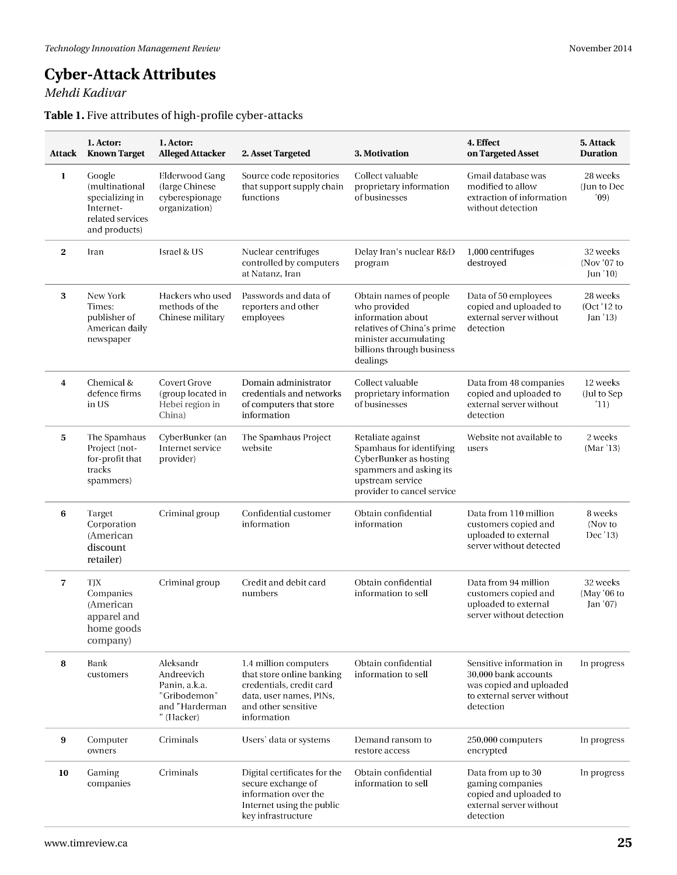*Mehdi Kadivar*

### **Table 1.** Five attributes of high-profile cyber-attacks

| Attack                  | 1. Actor:<br><b>Known Target</b>                                                              | 1. Actor:<br><b>Alleged Attacker</b>                                                     | 2. Asset Targeted                                                                                                                               | 3. Motivation                                                                                                                                               | 4. Effect<br>on Targeted Asset                                                                                         | 5. Attack<br><b>Duration</b>                    |
|-------------------------|-----------------------------------------------------------------------------------------------|------------------------------------------------------------------------------------------|-------------------------------------------------------------------------------------------------------------------------------------------------|-------------------------------------------------------------------------------------------------------------------------------------------------------------|------------------------------------------------------------------------------------------------------------------------|-------------------------------------------------|
| 1                       | Google<br>(multinational<br>specializing in<br>Internet-<br>related services<br>and products) | <b>Elderwood Gang</b><br>(large Chinese<br>cyberespionage<br>organization)               | Source code repositories<br>that support supply chain<br>functions                                                                              | Collect valuable<br>proprietary information<br>of businesses                                                                                                | Gmail database was<br>modified to allow<br>extraction of information<br>without detection                              | 28 weeks<br>(Jun to Dec<br>'09                  |
| $\boldsymbol{2}$        | Iran                                                                                          | Israel & US                                                                              | Nuclear centrifuges<br>controlled by computers<br>at Natanz, Iran                                                                               | Delay Iran's nuclear R&D<br>program                                                                                                                         | 1,000 centrifuges<br>destroyed                                                                                         | 32 weeks<br>(Nov '07 to<br>Jun $'10$            |
| 3                       | New York<br>Times:<br>publisher of<br>American daily<br>newspaper                             | Hackers who used<br>methods of the<br>Chinese military                                   | Passwords and data of<br>reporters and other<br>employees                                                                                       | Obtain names of people<br>who provided<br>information about<br>relatives of China's prime<br>minister accumulating<br>billions through business<br>dealings | Data of 50 employees<br>copied and uploaded to<br>external server without<br>detection                                 | 28 weeks<br>(Oct <sup>'</sup> 12 to<br>Jan '13) |
| 4                       | Chemical &<br>defence firms<br>in US                                                          | <b>Covert Grove</b><br>(group located in<br>Hebei region in<br>China)                    | Domain administrator<br>credentials and networks<br>of computers that store<br>information                                                      | Collect valuable<br>proprietary information<br>of businesses                                                                                                | Data from 48 companies<br>copied and uploaded to<br>external server without<br>detection                               | 12 weeks<br>(Jul to Sep<br>'11)                 |
| 5                       | The Spamhaus<br>Project (not-<br>for-profit that<br>tracks<br>spammers)                       | CyberBunker (an<br>Internet service<br>provider)                                         | The Spamhaus Project<br>website                                                                                                                 | Retaliate against<br>Spamhaus for identifying<br>CyberBunker as hosting<br>spammers and asking its<br>upstream service<br>provider to cancel service        | Website not available to<br>users                                                                                      | 2 weeks<br>(Mar '13)                            |
| 6                       | Target<br>Corporation<br>(American<br>discount<br>retailer)                                   | Criminal group                                                                           | Confidential customer<br>information                                                                                                            | Obtain confidential<br>information                                                                                                                          | Data from 110 million<br>customers copied and<br>uploaded to external<br>server without detected                       | 8 weeks<br>(Nov to<br>Dec '13)                  |
| $\overline{\mathbf{z}}$ | <b>TJX</b><br>Companies<br>(American<br>apparel and<br>home goods<br>company)                 | Criminal group                                                                           | Credit and debit card<br>numbers                                                                                                                | Obtain confidential<br>information to sell                                                                                                                  | Data from 94 million<br>customers copied and<br>uploaded to external<br>server without detection                       | 32 weeks<br>(May '06 to<br>Jan '07)             |
| 8                       | Bank<br>customers                                                                             | Aleksandr<br>Andreevich<br>Panin, a.k.a.<br>"Gribodemon"<br>and "Harderman<br>" (Hacker) | 1.4 million computers<br>that store online banking<br>credentials, credit card<br>data, user names, PINs,<br>and other sensitive<br>information | Obtain confidential<br>information to sell                                                                                                                  | Sensitive information in<br>30,000 bank accounts<br>was copied and uploaded<br>to external server without<br>detection | In progress                                     |
| 9                       | Computer<br>owners                                                                            | Criminals                                                                                | Users' data or systems                                                                                                                          | Demand ransom to<br>restore access                                                                                                                          | 250,000 computers<br>encrypted                                                                                         | In progress                                     |
| 10                      | Gaming<br>companies                                                                           | Criminals                                                                                | Digital certificates for the<br>secure exchange of<br>information over the<br>Internet using the public<br>key infrastructure                   | Obtain confidential<br>information to sell                                                                                                                  | Data from up to 30<br>gaming companies<br>copied and uploaded to<br>external server without<br>detection               | In progress                                     |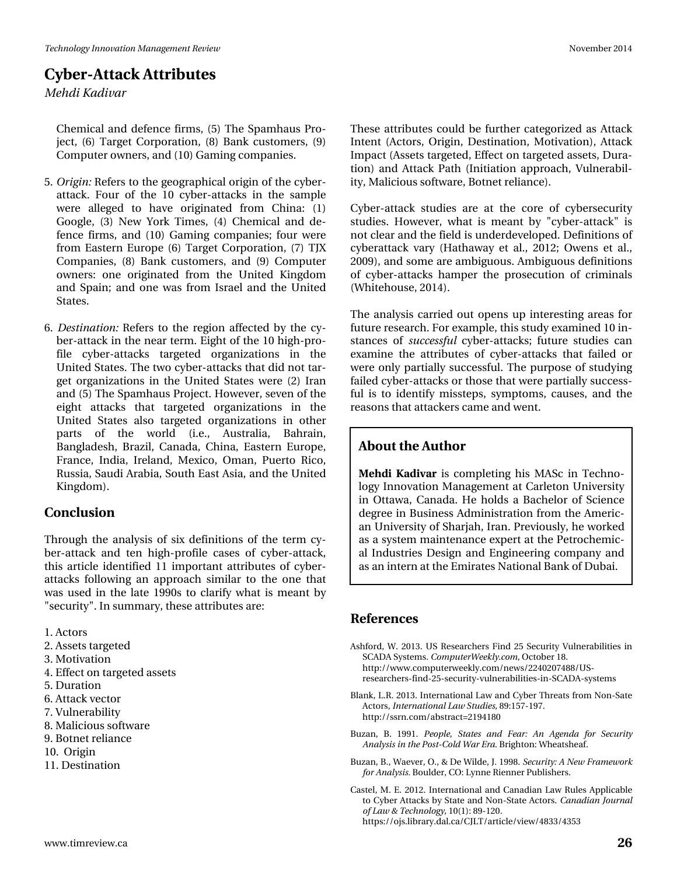*Mehdi Kadivar*

Chemical and defence firms, (5) The Spamhaus Project, (6) Target Corporation, (8) Bank customers, (9) Computer owners, and (10) Gaming companies.

- 5. *Origin:* Refers to the geographical origin of the cyberattack. Four of the 10 cyber-attacks in the sample were alleged to have originated from China: (1) Google, (3) New York Times, (4) Chemical and defence firms, and (10) Gaming companies; four were from Eastern Europe (6) Target Corporation, (7) TJX Companies, (8) Bank customers, and (9) Computer owners: one originated from the United Kingdom and Spain; and one was from Israel and the United States.
- 6. *Destination:* Refers to the region affected by the cyber-attack in the near term. Eight of the 10 high-profile cyber-attacks targeted organizations in the United States. The two cyber-attacks that did not target organizations in the United States were (2) Iran and (5) The Spamhaus Project. However, seven of the eight attacks that targeted organizations in the United States also targeted organizations in other parts of the world (i.e., Australia, Bahrain, Bangladesh, Brazil, Canada, China, Eastern Europe, France, India, Ireland, Mexico, Oman, Puerto Rico, Russia, Saudi Arabia, South East Asia, and the United Kingdom).

### **Conclusion**

Through the analysis of six definitions of the term cyber-attack and ten high-profile cases of cyber-attack, this article identified 11 important attributes of cyberattacks following an approach similar to the one that was used in the late 1990s to clarify what is meant by "security". In summary, these attributes are:

- 1. Actors
- 2. Assets targeted
- 3. Motivation
- 4. Effect on targeted assets
- 5. Duration
- 6. Attack vector
- 7. Vulnerability
- 8. Malicious software
- 9. Botnet reliance
- 10. Origin
- 11. Destination

These attributes could be further categorized as Attack Intent (Actors, Origin, Destination, Motivation), Attack Impact (Assets targeted, Effect on targeted assets, Duration) and Attack Path (Initiation approach, Vulnerability, Malicious software, Botnet reliance).

Cyber-attack studies are at the core of cybersecurity studies. However, what is meant by "cyber-attack" is not clear and the field is underdeveloped. Definitions of cyberattack vary (Hathaway et al., 2012; Owens et al., 2009), and some are ambiguous. Ambiguous definitions of cyber-attacks hamper the prosecution of criminals (Whitehouse, 2014).

The analysis carried out opens up interesting areas for future research. For example, this study examined 10 instances of *successful* cyber-attacks; future studies can examine the attributes of cyber-attacks that failed or were only partially successful. The purpose of studying failed cyber-attacks or those that were partially successful is to identify missteps, symptoms, causes, and the reasons that attackers came and went.

### **About the Author**

**Mehdi Kadivar** is completing his MASc in Technology Innovation Management at Carleton University in Ottawa, Canada. He holds a Bachelor of Science degree in Business Administration from the American University of Sharjah, Iran. Previously, he worked as a system maintenance expert at the Petrochemical Industries Design and Engineering company and as an intern at the Emirates National Bank of Dubai.

#### **References**

Ashford, W. 2013. US Researchers Find 25 Security Vulnerabilities in SCADA Systems. *ComputerWeekly.com*, October 18. http://www.computerweekly.com/news/2240207488/USresearchers-find-25-security-vulnerabilities-in-SCADA-systems

Blank, L.R. 2013. International Law and Cyber Threats from Non-Sate Actors, *International Law Studies,* 89:157-197. http://ssrn.com/abstract=2194180

- Buzan, B. 1991. *People, States and Fear: An Agenda for Security Analysis in the Post-Cold War Era.* Brighton: Wheatsheaf.
- Buzan, B., Waever, O., & De Wilde, J. 1998. *Security: A New Framework for Analysis.* Boulder, CO: Lynne Rienner Publishers.
- Castel, M. E. 2012. International and Canadian Law Rules Applicable to Cyber Attacks by State and Non-State Actors. *Canadian Journal of Law & Technology,* 10(1): 89-120. https://ojs.library.dal.ca/CJLT/article/view/4833/4353